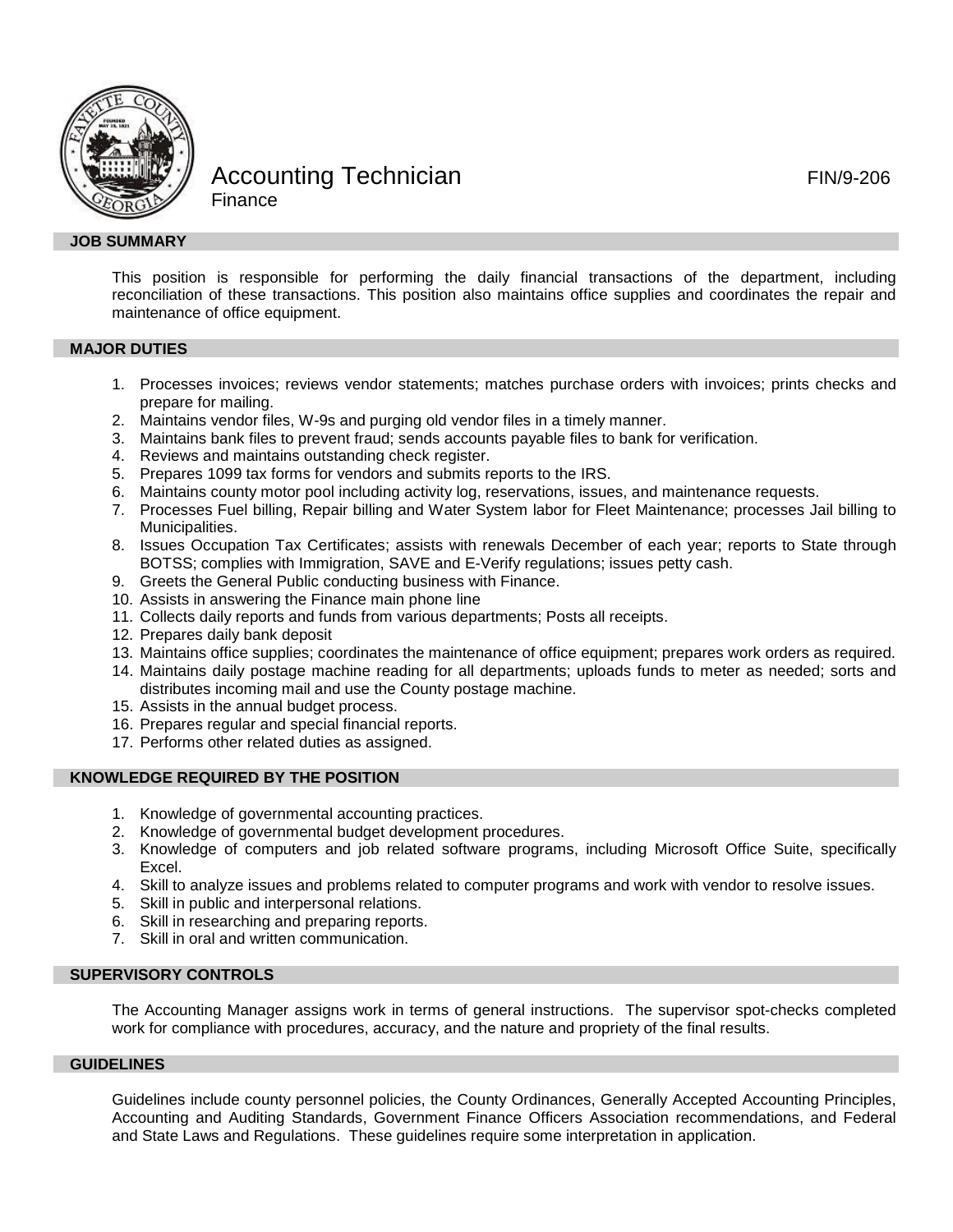

# Accounting Technician **FIN/9-206 Finance**

# **JOB SUMMARY**

This position is responsible for performing the daily financial transactions of the department, including reconciliation of these transactions. This position also maintains office supplies and coordinates the repair and maintenance of office equipment.

# **MAJOR DUTIES**

- 1. Processes invoices; reviews vendor statements; matches purchase orders with invoices; prints checks and prepare for mailing.
- 2. Maintains vendor files, W-9s and purging old vendor files in a timely manner.
- 3. Maintains bank files to prevent fraud; sends accounts payable files to bank for verification.
- 4. Reviews and maintains outstanding check register.
- 5. Prepares 1099 tax forms for vendors and submits reports to the IRS.
- 6. Maintains county motor pool including activity log, reservations, issues, and maintenance requests.
- 7. Processes Fuel billing, Repair billing and Water System labor for Fleet Maintenance; processes Jail billing to Municipalities.
- 8. Issues Occupation Tax Certificates; assists with renewals December of each year; reports to State through BOTSS; complies with Immigration, SAVE and E-Verify regulations; issues petty cash.
- 9. Greets the General Public conducting business with Finance.
- 10. Assists in answering the Finance main phone line
- 11. Collects daily reports and funds from various departments; Posts all receipts.
- 12. Prepares daily bank deposit
- 13. Maintains office supplies; coordinates the maintenance of office equipment; prepares work orders as required.
- 14. Maintains daily postage machine reading for all departments; uploads funds to meter as needed; sorts and distributes incoming mail and use the County postage machine.
- 15. Assists in the annual budget process.
- 16. Prepares regular and special financial reports.
- 17. Performs other related duties as assigned.

### **KNOWLEDGE REQUIRED BY THE POSITION**

- 1. Knowledge of governmental accounting practices.
- 2. Knowledge of governmental budget development procedures.
- 3. Knowledge of computers and job related software programs, including Microsoft Office Suite, specifically Excel.
- 4. Skill to analyze issues and problems related to computer programs and work with vendor to resolve issues.
- 5. Skill in public and interpersonal relations.
- 6. Skill in researching and preparing reports.
- 7. Skill in oral and written communication.

# **SUPERVISORY CONTROLS**

The Accounting Manager assigns work in terms of general instructions. The supervisor spot-checks completed work for compliance with procedures, accuracy, and the nature and propriety of the final results.

# **GUIDELINES**

Guidelines include county personnel policies, the County Ordinances, Generally Accepted Accounting Principles, Accounting and Auditing Standards, Government Finance Officers Association recommendations, and Federal and State Laws and Regulations. These guidelines require some interpretation in application.